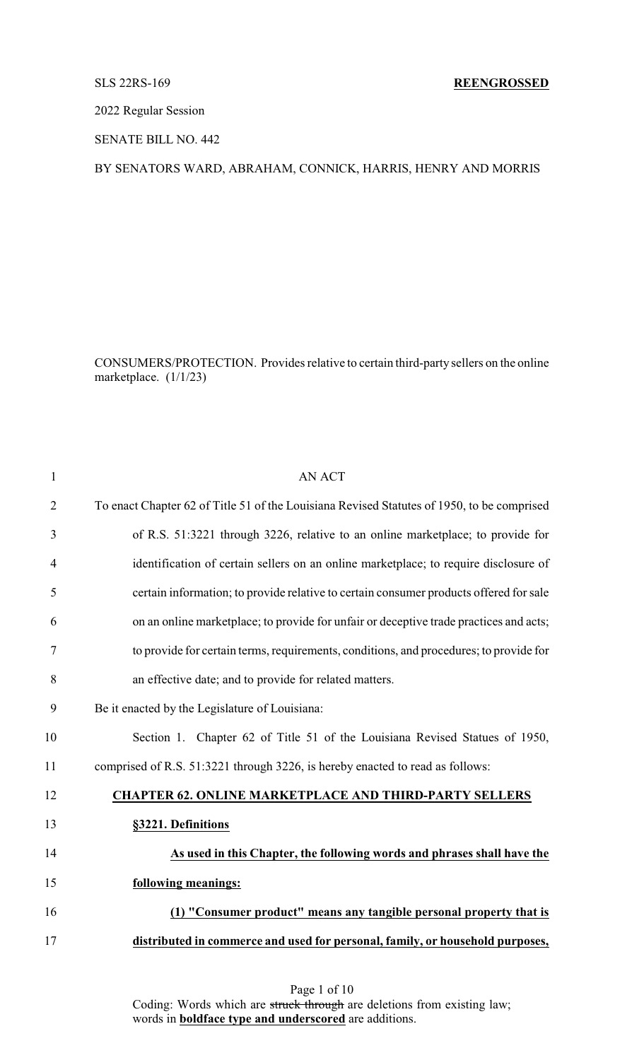2022 Regular Session

SENATE BILL NO. 442

## BY SENATORS WARD, ABRAHAM, CONNICK, HARRIS, HENRY AND MORRIS

CONSUMERS/PROTECTION. Provides relative to certain third-party sellers on the online marketplace. (1/1/23)

| $\mathbf{1}$   | <b>AN ACT</b>                                                                              |
|----------------|--------------------------------------------------------------------------------------------|
| $\overline{2}$ | To enact Chapter 62 of Title 51 of the Louisiana Revised Statutes of 1950, to be comprised |
| 3              | of R.S. 51:3221 through 3226, relative to an online marketplace; to provide for            |
| 4              | identification of certain sellers on an online marketplace; to require disclosure of       |
| 5              | certain information; to provide relative to certain consumer products offered for sale     |
| 6              | on an online marketplace; to provide for unfair or deceptive trade practices and acts;     |
| 7              | to provide for certain terms, requirements, conditions, and procedures; to provide for     |
| 8              | an effective date; and to provide for related matters.                                     |
| 9              | Be it enacted by the Legislature of Louisiana:                                             |
| 10             | Section 1. Chapter 62 of Title 51 of the Louisiana Revised Statues of 1950,                |
| 11             | comprised of R.S. 51:3221 through 3226, is hereby enacted to read as follows:              |
| 12             | <b>CHAPTER 62. ONLINE MARKETPLACE AND THIRD-PARTY SELLERS</b>                              |
| 13             | §3221. Definitions                                                                         |
| 14             | As used in this Chapter, the following words and phrases shall have the                    |
| 15             | following meanings:                                                                        |
| 16             | (1) "Consumer product" means any tangible personal property that is                        |
| 17             | distributed in commerce and used for personal, family, or household purposes,              |
|                |                                                                                            |

Coding: Words which are struck through are deletions from existing law; words in **boldface type and underscored** are additions.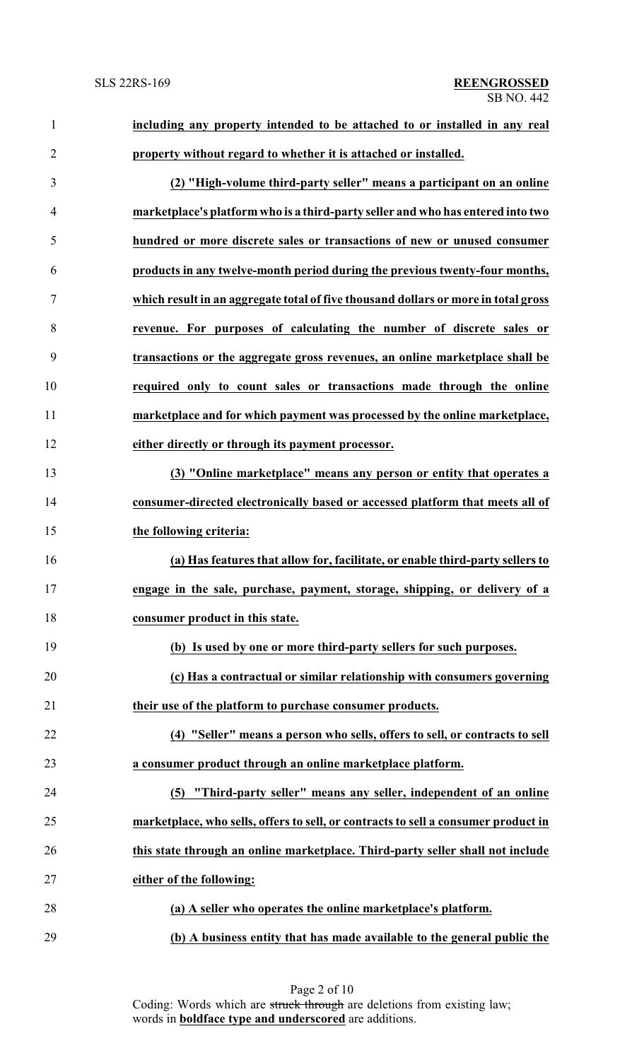| 1              | including any property intended to be attached to or installed in any real         |
|----------------|------------------------------------------------------------------------------------|
| $\overline{2}$ | property without regard to whether it is attached or installed.                    |
| 3              | (2) "High-volume third-party seller" means a participant on an online              |
| 4              | marketplace's platform who is a third-party seller and who has entered into two    |
| 5              | hundred or more discrete sales or transactions of new or unused consumer           |
| 6              | products in any twelve-month period during the previous twenty-four months,        |
| 7              | which result in an aggregate total of five thousand dollars or more in total gross |
| 8              | revenue. For purposes of calculating the number of discrete sales or               |
| 9              | transactions or the aggregate gross revenues, an online marketplace shall be       |
| 10             | required only to count sales or transactions made through the online               |
| 11             | marketplace and for which payment was processed by the online marketplace,         |
| 12             | either directly or through its payment processor.                                  |
| 13             | (3) "Online marketplace" means any person or entity that operates a                |
| 14             | consumer-directed electronically based or accessed platform that meets all of      |
| 15             | the following criteria:                                                            |
| 16             | (a) Has features that allow for, facilitate, or enable third-party sellers to      |
| 17             | engage in the sale, purchase, payment, storage, shipping, or delivery of a         |
| 18             | consumer product in this state.                                                    |
| 19             | (b) Is used by one or more third-party sellers for such purposes.                  |
| 20             | (c) Has a contractual or similar relationship with consumers governing             |
| 21             | their use of the platform to purchase consumer products.                           |
| 22             | (4) "Seller" means a person who sells, offers to sell, or contracts to sell        |
| 23             | a consumer product through an online marketplace platform.                         |
| 24             | (5) "Third-party seller" means any seller, independent of an online                |
| 25             | marketplace, who sells, offers to sell, or contracts to sell a consumer product in |
| 26             | this state through an online marketplace. Third-party seller shall not include     |
| 27             | either of the following:                                                           |
| 28             | (a) A seller who operates the online marketplace's platform.                       |
| 29             | (b) A business entity that has made available to the general public the            |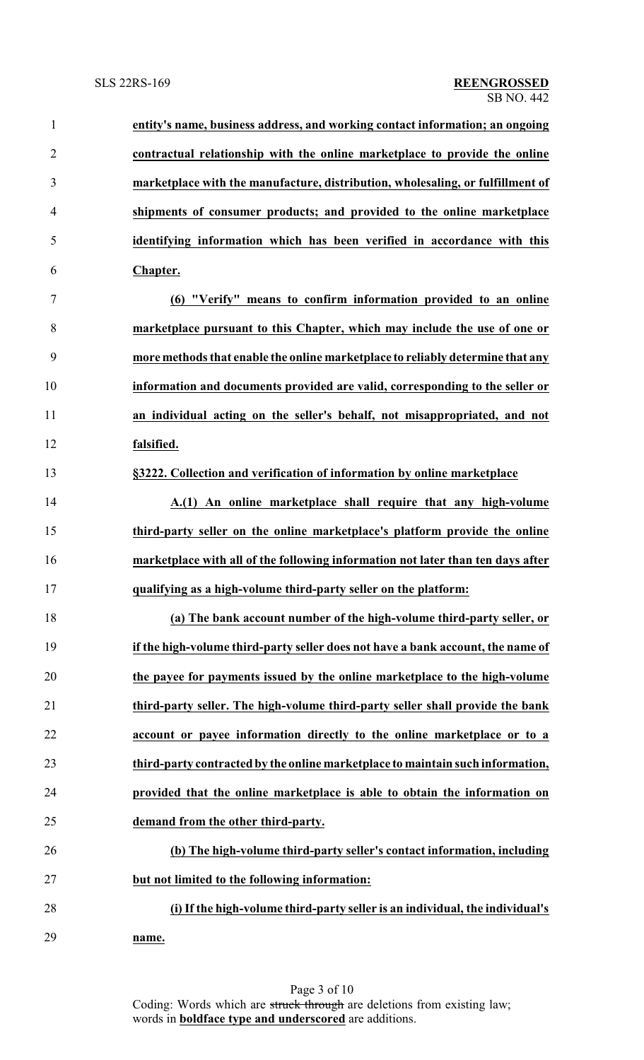| $\mathbf{1}$   | entity's name, business address, and working contact information; an ongoing    |
|----------------|---------------------------------------------------------------------------------|
| $\overline{2}$ | contractual relationship with the online marketplace to provide the online      |
| $\overline{3}$ | marketplace with the manufacture, distribution, wholesaling, or fulfillment of  |
| $\overline{4}$ | shipments of consumer products; and provided to the online marketplace          |
| 5              | identifying information which has been verified in accordance with this         |
| 6              | Chapter.                                                                        |
| 7              | (6) "Verify" means to confirm information provided to an online                 |
| $8\,$          | marketplace pursuant to this Chapter, which may include the use of one or       |
| 9              | more methods that enable the online marketplace to reliably determine that any  |
| 10             | information and documents provided are valid, corresponding to the seller or    |
| 11             | an individual acting on the seller's behalf, not misappropriated, and not       |
| 12             | falsified.                                                                      |
| 13             | §3222. Collection and verification of information by online marketplace         |
| 14             | A.(1) An online marketplace shall require that any high-volume                  |
| 15             | third-party seller on the online marketplace's platform provide the online      |
| 16             | marketplace with all of the following information not later than ten days after |
| 17             | qualifying as a high-volume third-party seller on the platform:                 |
| 18             | (a) The bank account number of the high-volume third-party seller, or           |
| 19             | if the high-volume third-party seller does not have a bank account, the name of |
| 20             | the payee for payments issued by the online marketplace to the high-volume      |
| 21             | third-party seller. The high-volume third-party seller shall provide the bank   |
| 22             | account or payee information directly to the online marketplace or to a         |
| 23             | third-party contracted by the online marketplace to maintain such information,  |
| 24             | provided that the online marketplace is able to obtain the information on       |
| 25             | demand from the other third-party.                                              |
| 26             | (b) The high-volume third-party seller's contact information, including         |
| 27             | but not limited to the following information:                                   |
| 28             | (i) If the high-volume third-party seller is an individual, the individual's    |
| 29             | name.                                                                           |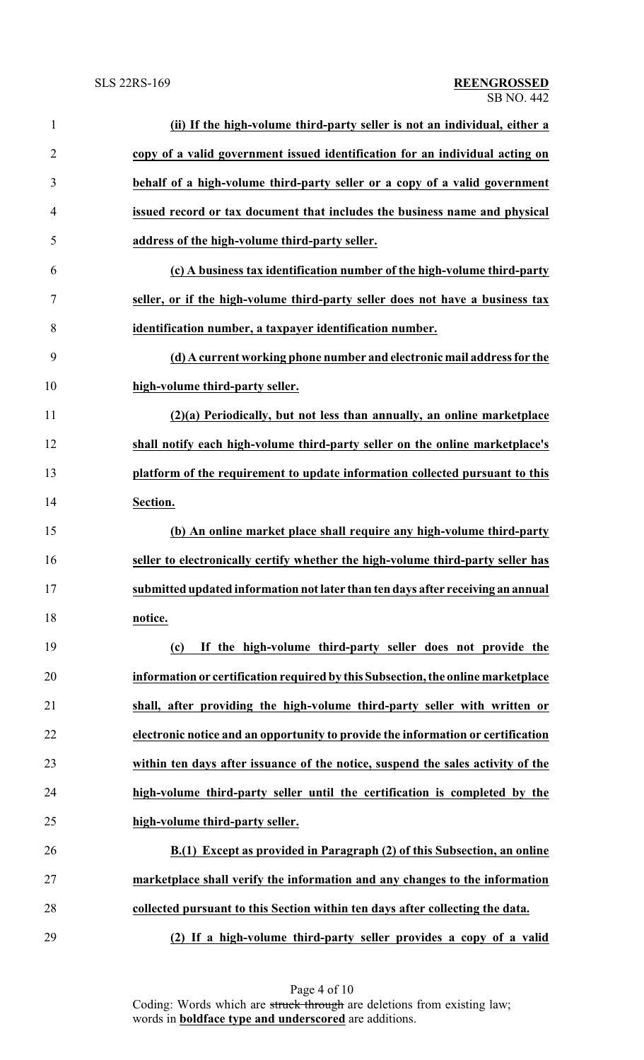| $\mathbf{1}$   | (ii) If the high-volume third-party seller is not an individual, either a        |
|----------------|----------------------------------------------------------------------------------|
| $\overline{2}$ | copy of a valid government issued identification for an individual acting on     |
| 3              | behalf of a high-volume third-party seller or a copy of a valid government       |
| $\overline{4}$ | issued record or tax document that includes the business name and physical       |
| 5              | address of the high-volume third-party seller.                                   |
| 6              | (c) A business tax identification number of the high-volume third-party          |
| $\tau$         | seller, or if the high-volume third-party seller does not have a business tax    |
| 8              | identification number, a taxpayer identification number.                         |
| 9              | (d) A current working phone number and electronic mail address for the           |
| 10             | high-volume third-party seller.                                                  |
| 11             | (2)(a) Periodically, but not less than annually, an online marketplace           |
| 12             | shall notify each high-volume third-party seller on the online marketplace's     |
| 13             | platform of the requirement to update information collected pursuant to this     |
| 14             | Section.                                                                         |
| 15             | (b) An online market place shall require any high-volume third-party             |
| 16             | seller to electronically certify whether the high-volume third-party seller has  |
| 17             | submitted updated information not later than ten days after receiving an annual  |
| 18             | notice.                                                                          |
| 19             | If the high-volume third-party seller does not provide the<br>(c)                |
| 20             | information or certification required by this Subsection, the online marketplace |
| 21             | shall, after providing the high-volume third-party seller with written or        |
| 22             | electronic notice and an opportunity to provide the information or certification |
| 23             | within ten days after issuance of the notice, suspend the sales activity of the  |
| 24             | high-volume third-party seller until the certification is completed by the       |
| 25             | high-volume third-party seller.                                                  |
| 26             | B.(1) Except as provided in Paragraph (2) of this Subsection, an online          |
| 27             | marketplace shall verify the information and any changes to the information      |
| 28             | collected pursuant to this Section within ten days after collecting the data.    |
| 29             | (2) If a high-volume third-party seller provides a copy of a valid               |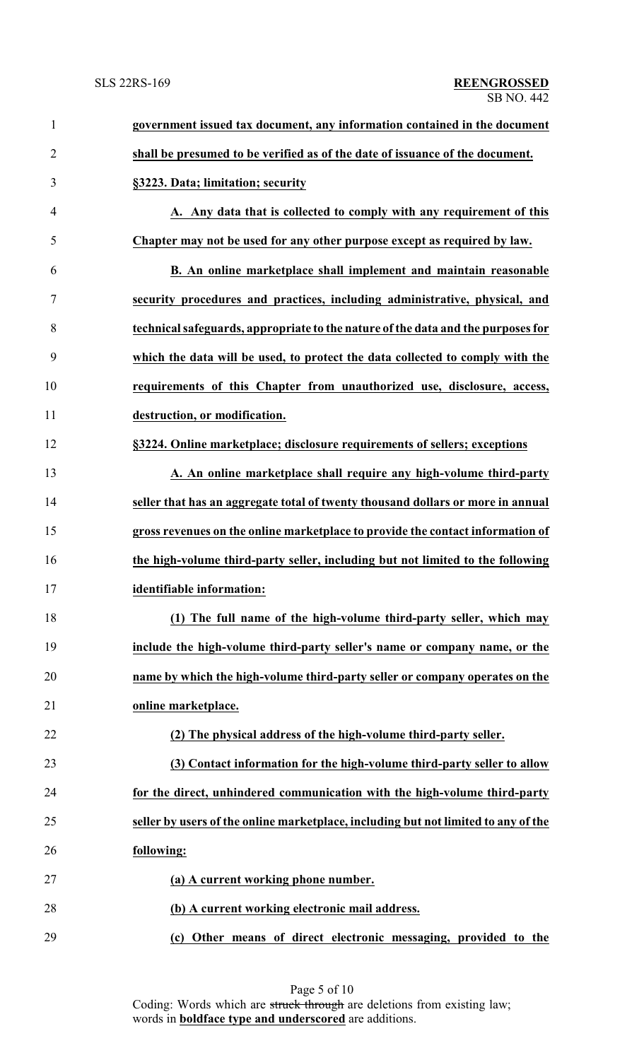| $\mathbf{1}$   | government issued tax document, any information contained in the document          |
|----------------|------------------------------------------------------------------------------------|
| $\overline{2}$ | shall be presumed to be verified as of the date of issuance of the document.       |
| 3              | §3223. Data; limitation; security                                                  |
| 4              | A. Any data that is collected to comply with any requirement of this               |
| 5              | Chapter may not be used for any other purpose except as required by law.           |
| 6              | B. An online marketplace shall implement and maintain reasonable                   |
| 7              | security procedures and practices, including administrative, physical, and         |
| 8              | technical safeguards, appropriate to the nature of the data and the purposes for   |
| 9              | which the data will be used, to protect the data collected to comply with the      |
| 10             | requirements of this Chapter from unauthorized use, disclosure, access,            |
| 11             | destruction, or modification.                                                      |
| 12             | §3224. Online marketplace; disclosure requirements of sellers; exceptions          |
| 13             | A. An online marketplace shall require any high-volume third-party                 |
| 14             | seller that has an aggregate total of twenty thousand dollars or more in annual    |
| 15             | gross revenues on the online marketplace to provide the contact information of     |
| 16             | the high-volume third-party seller, including but not limited to the following     |
|                | identifiable information:                                                          |
| 18             | (1) The full name of the high-volume third-party seller, which may                 |
| 19             | include the high-volume third-party seller's name or company name, or the          |
| 20             | name by which the high-volume third-party seller or company operates on the        |
| 21             | online marketplace.                                                                |
| 22             | (2) The physical address of the high-volume third-party seller.                    |
| 23             | (3) Contact information for the high-volume third-party seller to allow            |
| 24             | for the direct, unhindered communication with the high-volume third-party          |
| 25             | seller by users of the online marketplace, including but not limited to any of the |
| 26             | following:                                                                         |
| 27             | (a) A current working phone number.                                                |
| 28             | (b) A current working electronic mail address.                                     |
| 29             | (c) Other means of direct electronic messaging, provided to the                    |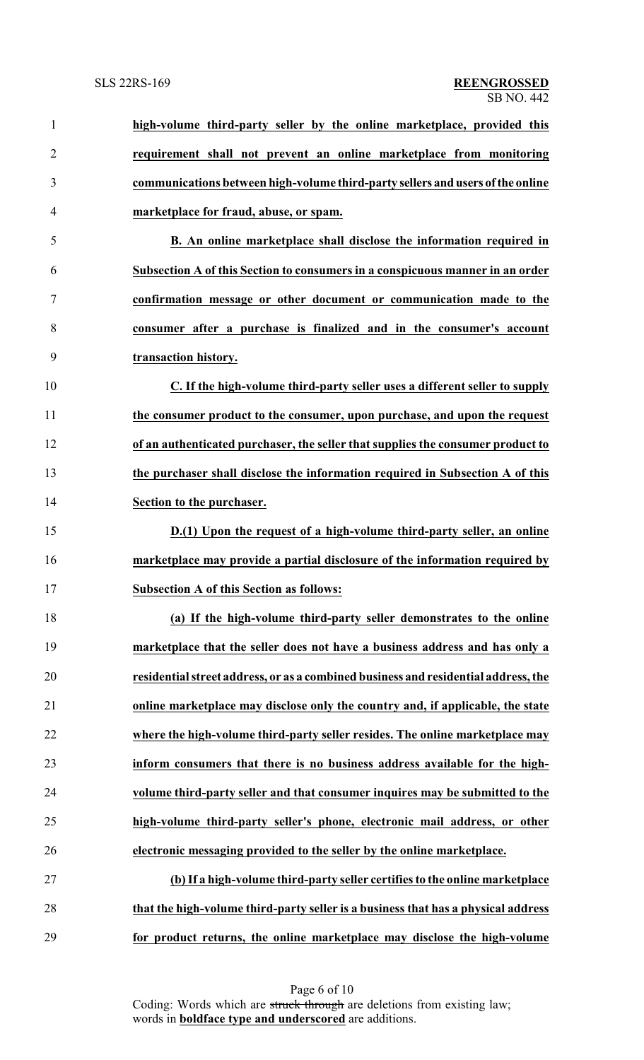| $\mathbf{1}$   | high-volume third-party seller by the online marketplace, provided this            |
|----------------|------------------------------------------------------------------------------------|
| $\overline{2}$ | requirement shall not prevent an online marketplace from monitoring                |
| 3              | communications between high-volume third-party sellers and users of the online     |
| 4              | marketplace for fraud, abuse, or spam.                                             |
| 5              | B. An online marketplace shall disclose the information required in                |
| 6              | Subsection A of this Section to consumers in a conspicuous manner in an order      |
| 7              | confirmation message or other document or communication made to the                |
| 8              | consumer after a purchase is finalized and in the consumer's account               |
| 9              | transaction history.                                                               |
| 10             | C. If the high-volume third-party seller uses a different seller to supply         |
| 11             | the consumer product to the consumer, upon purchase, and upon the request          |
| 12             | of an authenticated purchaser, the seller that supplies the consumer product to    |
| 13             | the purchaser shall disclose the information required in Subsection A of this      |
| 14             | Section to the purchaser.                                                          |
| 15             | D.(1) Upon the request of a high-volume third-party seller, an online              |
| 16             | marketplace may provide a partial disclosure of the information required by        |
| 17             | <b>Subsection A of this Section as follows:</b>                                    |
| 18             | (a) If the high-volume third-party seller demonstrates to the online               |
| 19             | marketplace that the seller does not have a business address and has only a        |
| 20             | residential street address, or as a combined business and residential address, the |
| 21             | online marketplace may disclose only the country and, if applicable, the state     |
| 22             | where the high-volume third-party seller resides. The online marketplace may       |
| 23             | inform consumers that there is no business address available for the high-         |
| 24             | volume third-party seller and that consumer inquires may be submitted to the       |
| 25             | high-volume third-party seller's phone, electronic mail address, or other          |
| 26             | electronic messaging provided to the seller by the online marketplace.             |
| 27             | (b) If a high-volume third-party seller certifies to the online marketplace        |
| 28             | that the high-volume third-party seller is a business that has a physical address  |
| 29             | for product returns, the online marketplace may disclose the high-volume           |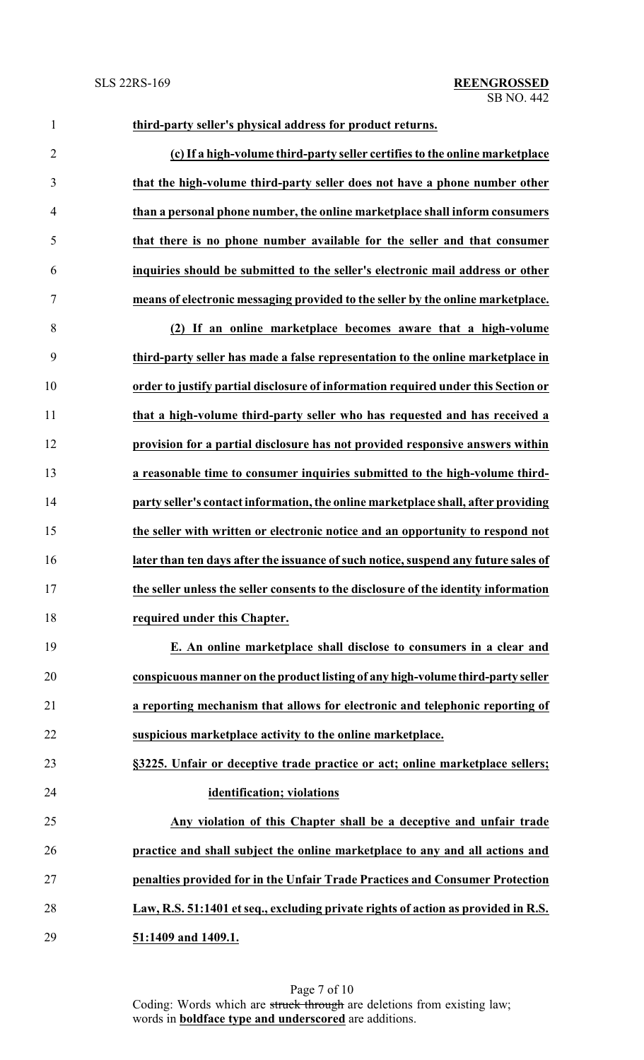| 1              | third-party seller's physical address for product returns.                          |
|----------------|-------------------------------------------------------------------------------------|
| $\overline{2}$ | (c) If a high-volume third-party seller certifies to the online marketplace         |
| 3              | that the high-volume third-party seller does not have a phone number other          |
| $\overline{4}$ | than a personal phone number, the online marketplace shall inform consumers         |
| 5              | that there is no phone number available for the seller and that consumer            |
| 6              | inquiries should be submitted to the seller's electronic mail address or other      |
| $\tau$         | means of electronic messaging provided to the seller by the online marketplace.     |
| $8\,$          | (2) If an online marketplace becomes aware that a high-volume                       |
| 9              | third-party seller has made a false representation to the online marketplace in     |
| 10             | order to justify partial disclosure of information required under this Section or   |
| 11             | that a high-volume third-party seller who has requested and has received a          |
| 12             | provision for a partial disclosure has not provided responsive answers within       |
| 13             | a reasonable time to consumer inquiries submitted to the high-volume third-         |
| 14             | party seller's contact information, the online marketplace shall, after providing   |
| 15             | the seller with written or electronic notice and an opportunity to respond not      |
| 16             | later than ten days after the issuance of such notice, suspend any future sales of  |
| 17             | the seller unless the seller consents to the disclosure of the identity information |
| 18             | required under this Chapter.                                                        |
| 19             | E. An online marketplace shall disclose to consumers in a clear and                 |
| 20             | conspicuous manner on the product listing of any high-volume third-party seller     |
| 21             | a reporting mechanism that allows for electronic and telephonic reporting of        |
| 22             | suspicious marketplace activity to the online marketplace.                          |
| 23             | §3225. Unfair or deceptive trade practice or act; online marketplace sellers;       |
| 24             | identification; violations                                                          |
| 25             | Any violation of this Chapter shall be a deceptive and unfair trade                 |
| 26             | practice and shall subject the online marketplace to any and all actions and        |
| 27             | penalties provided for in the Unfair Trade Practices and Consumer Protection        |
| 28             | Law, R.S. 51:1401 et seq., excluding private rights of action as provided in R.S.   |
| 29             | 51:1409 and 1409.1.                                                                 |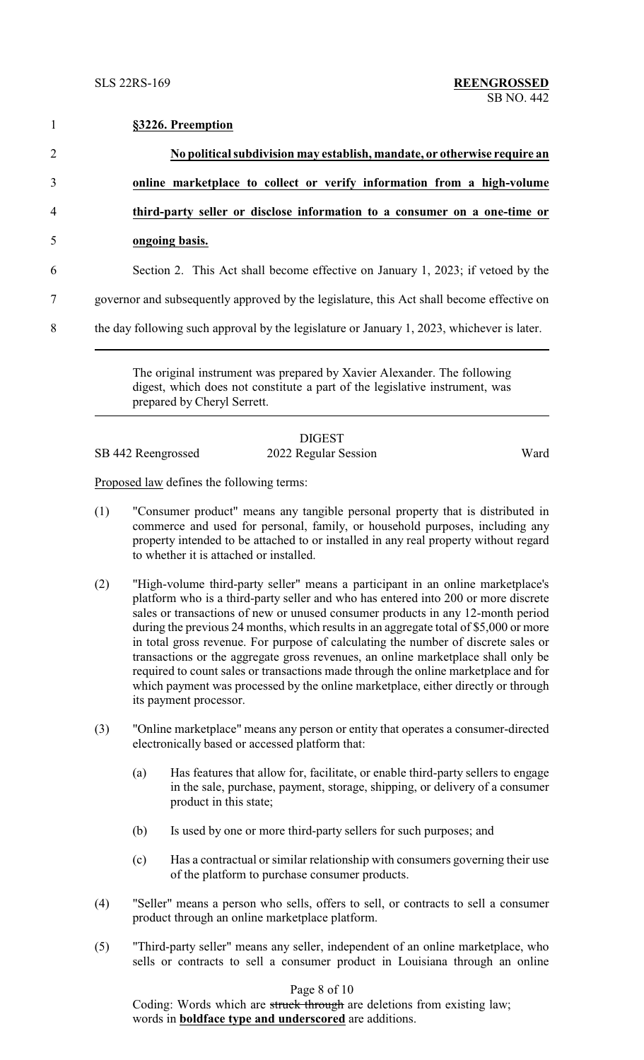|                | §3226. Preemption                                                                          |
|----------------|--------------------------------------------------------------------------------------------|
| $\overline{2}$ | No political subdivision may establish, mandate, or otherwise require an                   |
| 3              | online marketplace to collect or verify information from a high-volume                     |
| $\overline{4}$ | third-party seller or disclose information to a consumer on a one-time or                  |
| 5              | ongoing basis.                                                                             |
| 6              | Section 2. This Act shall become effective on January 1, 2023; if vetoed by the            |
| 7              | governor and subsequently approved by the legislature, this Act shall become effective on  |
| 8              | the day following such approval by the legislature or January 1, 2023, whichever is later. |

The original instrument was prepared by Xavier Alexander. The following digest, which does not constitute a part of the legislative instrument, was prepared by Cheryl Serrett.

SB 442 Reengrossed 2022 Regular Session Ward

DIGEST

Proposed law defines the following terms:

- (1) "Consumer product" means any tangible personal property that is distributed in commerce and used for personal, family, or household purposes, including any property intended to be attached to or installed in any real property without regard to whether it is attached or installed.
- (2) "High-volume third-party seller" means a participant in an online marketplace's platform who is a third-party seller and who has entered into 200 or more discrete sales or transactions of new or unused consumer products in any 12-month period during the previous 24 months, which results in an aggregate total of \$5,000 or more in total gross revenue. For purpose of calculating the number of discrete sales or transactions or the aggregate gross revenues, an online marketplace shall only be required to count sales or transactions made through the online marketplace and for which payment was processed by the online marketplace, either directly or through its payment processor.
- (3) "Online marketplace" means any person or entity that operates a consumer-directed electronically based or accessed platform that:
	- (a) Has features that allow for, facilitate, or enable third-party sellers to engage in the sale, purchase, payment, storage, shipping, or delivery of a consumer product in this state;
	- (b) Is used by one or more third-party sellers for such purposes; and
	- (c) Has a contractual or similar relationship with consumers governing their use of the platform to purchase consumer products.
- (4) "Seller" means a person who sells, offers to sell, or contracts to sell a consumer product through an online marketplace platform.
- (5) "Third-party seller" means any seller, independent of an online marketplace, who sells or contracts to sell a consumer product in Louisiana through an online

Page 8 of 10

Coding: Words which are struck through are deletions from existing law; words in **boldface type and underscored** are additions.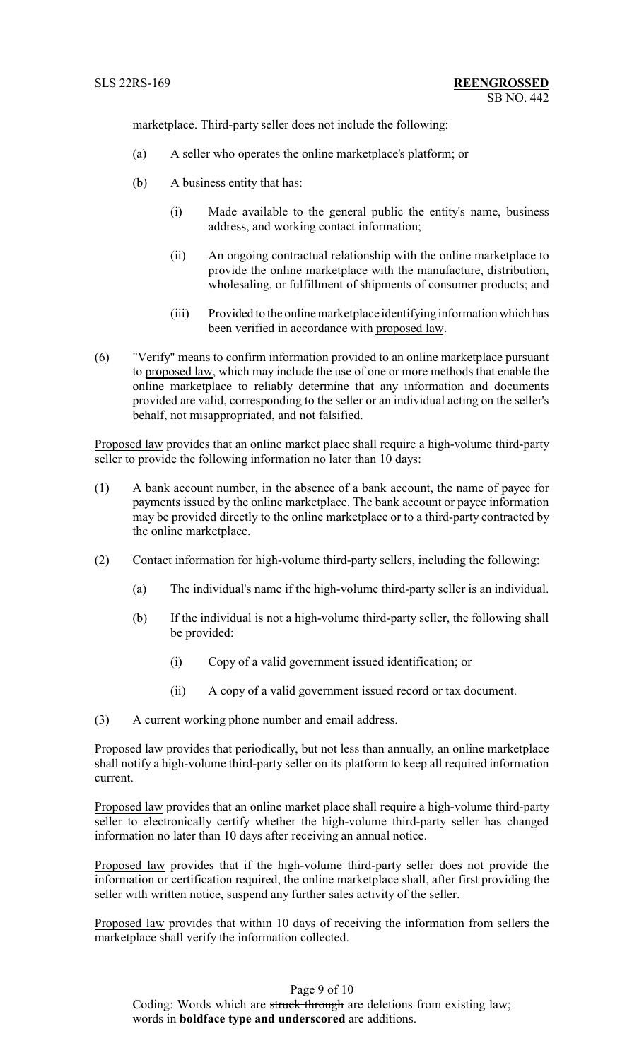marketplace. Third-party seller does not include the following:

- (a) A seller who operates the online marketplace's platform; or
- (b) A business entity that has:
	- (i) Made available to the general public the entity's name, business address, and working contact information;
	- (ii) An ongoing contractual relationship with the online marketplace to provide the online marketplace with the manufacture, distribution, wholesaling, or fulfillment of shipments of consumer products; and
	- (iii) Provided to the online marketplace identifying information which has been verified in accordance with proposed law.
- (6) "Verify" means to confirm information provided to an online marketplace pursuant to proposed law, which may include the use of one or more methods that enable the online marketplace to reliably determine that any information and documents provided are valid, corresponding to the seller or an individual acting on the seller's behalf, not misappropriated, and not falsified.

Proposed law provides that an online market place shall require a high-volume third-party seller to provide the following information no later than 10 days:

- (1) A bank account number, in the absence of a bank account, the name of payee for payments issued by the online marketplace. The bank account or payee information may be provided directly to the online marketplace or to a third-party contracted by the online marketplace.
- (2) Contact information for high-volume third-party sellers, including the following:
	- (a) The individual's name if the high-volume third-party seller is an individual.
	- (b) If the individual is not a high-volume third-party seller, the following shall be provided:
		- (i) Copy of a valid government issued identification; or
		- (ii) A copy of a valid government issued record or tax document.

(3) A current working phone number and email address.

Proposed law provides that periodically, but not less than annually, an online marketplace shall notify a high-volume third-party seller on its platform to keep all required information current.

Proposed law provides that an online market place shall require a high-volume third-party seller to electronically certify whether the high-volume third-party seller has changed information no later than 10 days after receiving an annual notice.

Proposed law provides that if the high-volume third-party seller does not provide the information or certification required, the online marketplace shall, after first providing the seller with written notice, suspend any further sales activity of the seller.

Proposed law provides that within 10 days of receiving the information from sellers the marketplace shall verify the information collected.

Page 9 of 10 Coding: Words which are struck through are deletions from existing law; words in **boldface type and underscored** are additions.